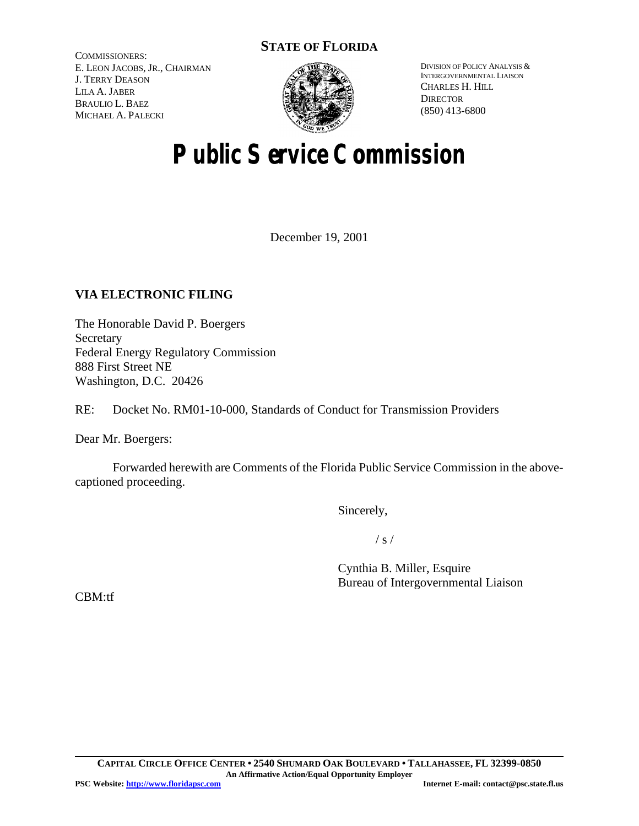# **STATE OF FLORIDA**

COMMISSIONERS: E. LEON JACOBS, JR., CHAIRMAN J. TERRY DEASON LILA A. JABER BRAULIO L. BAEZ MICHAEL A. PALECKI



DIVISION OF POLICY ANALYSIS & INTERGOVERNMENTAL LIAISON CHARLES H. HILL **DIRECTOR** (850) 413-6800

# **Public Service Commission**

December 19, 2001

## **VIA ELECTRONIC FILING**

The Honorable David P. Boergers Secretary Federal Energy Regulatory Commission 888 First Street NE Washington, D.C. 20426

RE: Docket No. RM01-10-000, Standards of Conduct for Transmission Providers

Dear Mr. Boergers:

Forwarded herewith are Comments of the Florida Public Service Commission in the abovecaptioned proceeding.

Sincerely,

 $/ s /$ 

Cynthia B. Miller, Esquire Bureau of Intergovernmental Liaison

CBM:tf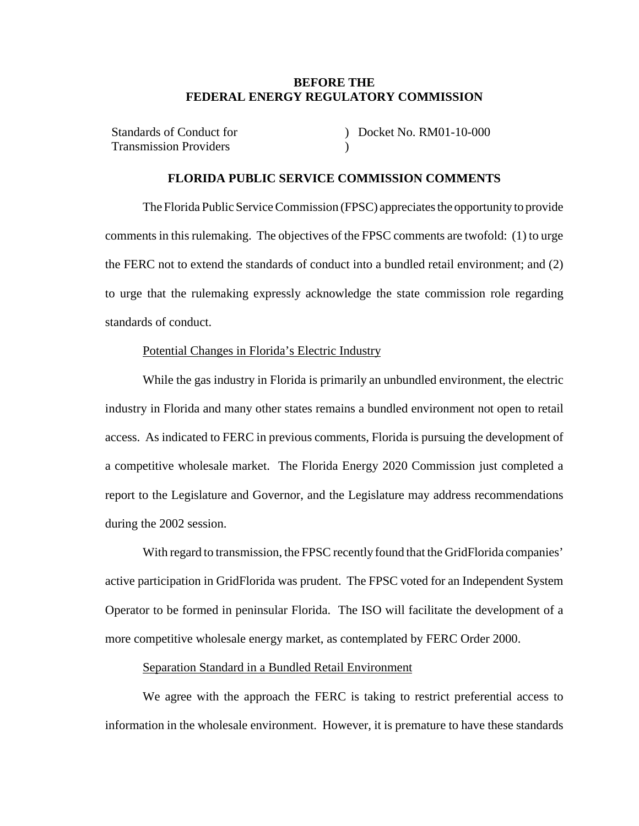#### **BEFORE THE FEDERAL ENERGY REGULATORY COMMISSION**

Standards of Conduct for Transmission Providers ) Docket No. RM01-10-000 )

#### **FLORIDA PUBLIC SERVICE COMMISSION COMMENTS**

The Florida Public Service Commission (FPSC) appreciates the opportunity to provide commentsin this rulemaking. The objectives of the FPSC comments are twofold: (1) to urge the FERC not to extend the standards of conduct into a bundled retail environment; and (2) to urge that the rulemaking expressly acknowledge the state commission role regarding standards of conduct.

#### Potential Changes in Florida's Electric Industry

While the gas industry in Florida is primarily an unbundled environment, the electric industry in Florida and many other states remains a bundled environment not open to retail access. As indicated to FERC in previous comments, Florida is pursuing the development of a competitive wholesale market. The Florida Energy 2020 Commission just completed a report to the Legislature and Governor, and the Legislature may address recommendations during the 2002 session.

With regard to transmission, the FPSC recently found that the GridFlorida companies' active participation in GridFlorida was prudent. The FPSC voted for an Independent System Operator to be formed in peninsular Florida. The ISO will facilitate the development of a more competitive wholesale energy market, as contemplated by FERC Order 2000.

#### Separation Standard in a Bundled Retail Environment

We agree with the approach the FERC is taking to restrict preferential access to information in the wholesale environment. However, it is premature to have these standards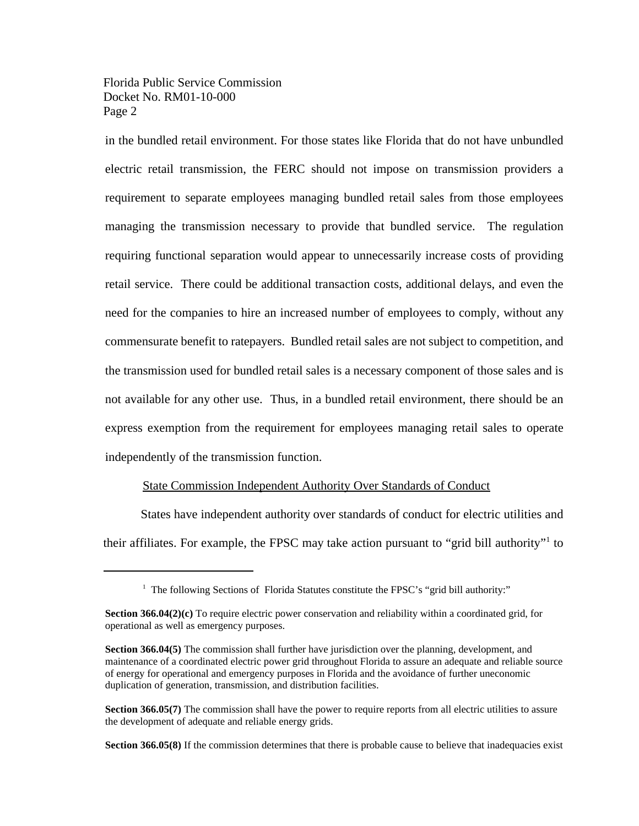Florida Public Service Commission Docket No. RM01-10-000 Page 2

in the bundled retail environment. For those states like Florida that do not have unbundled electric retail transmission, the FERC should not impose on transmission providers a requirement to separate employees managing bundled retail sales from those employees managing the transmission necessary to provide that bundled service. The regulation requiring functional separation would appear to unnecessarily increase costs of providing retail service. There could be additional transaction costs, additional delays, and even the need for the companies to hire an increased number of employees to comply, without any commensurate benefit to ratepayers. Bundled retail sales are not subject to competition, and the transmission used for bundled retail sales is a necessary component of those sales and is not available for any other use. Thus, in a bundled retail environment, there should be an express exemption from the requirement for employees managing retail sales to operate independently of the transmission function.

#### State Commission Independent Authority Over Standards of Conduct

States have independent authority over standards of conduct for electric utilities and their affiliates. For example, the FPSC may take action pursuant to "grid bill authority"<sup>1</sup> to

**Section 366.05(8)** If the commission determines that there is probable cause to believe that inadequacies exist

<sup>&</sup>lt;sup>1</sup> The following Sections of Florida Statutes constitute the FPSC's "grid bill authority:"

**Section 366.04(2)(c)** To require electric power conservation and reliability within a coordinated grid, for operational as well as emergency purposes.

**Section 366.04(5)** The commission shall further have jurisdiction over the planning, development, and maintenance of a coordinated electric power grid throughout Florida to assure an adequate and reliable source of energy for operational and emergency purposes in Florida and the avoidance of further uneconomic duplication of generation, transmission, and distribution facilities.

**Section 366.05(7)** The commission shall have the power to require reports from all electric utilities to assure the development of adequate and reliable energy grids.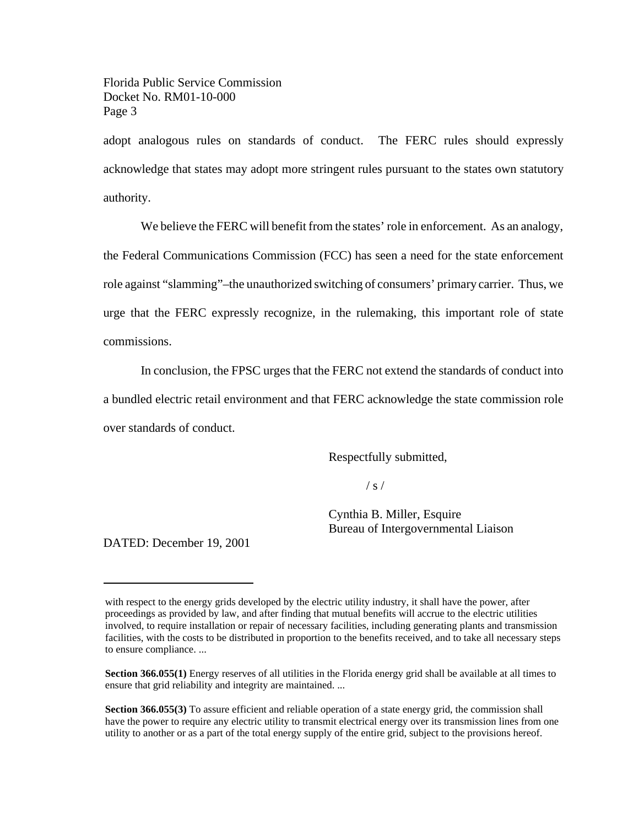Florida Public Service Commission Docket No. RM01-10-000 Page 3

adopt analogous rules on standards of conduct. The FERC rules should expressly acknowledge that states may adopt more stringent rules pursuant to the states own statutory authority.

We believe the FERC will benefit from the states' role in enforcement. As an analogy, the Federal Communications Commission (FCC) has seen a need for the state enforcement role against "slamming"–the unauthorized switching of consumers' primary carrier. Thus, we urge that the FERC expressly recognize, in the rulemaking, this important role of state commissions.

In conclusion, the FPSC urges that the FERC not extend the standards of conduct into a bundled electric retail environment and that FERC acknowledge the state commission role over standards of conduct.

Respectfully submitted,

 $/ s /$ 

Cynthia B. Miller, Esquire Bureau of Intergovernmental Liaison

DATED: December 19, 2001

with respect to the energy grids developed by the electric utility industry, it shall have the power, after proceedings as provided by law, and after finding that mutual benefits will accrue to the electric utilities involved, to require installation or repair of necessary facilities, including generating plants and transmission facilities, with the costs to be distributed in proportion to the benefits received, and to take all necessary steps to ensure compliance. ...

**Section 366.055(1)** Energy reserves of all utilities in the Florida energy grid shall be available at all times to ensure that grid reliability and integrity are maintained. ...

**Section 366.055(3)** To assure efficient and reliable operation of a state energy grid, the commission shall have the power to require any electric utility to transmit electrical energy over its transmission lines from one utility to another or as a part of the total energy supply of the entire grid, subject to the provisions hereof.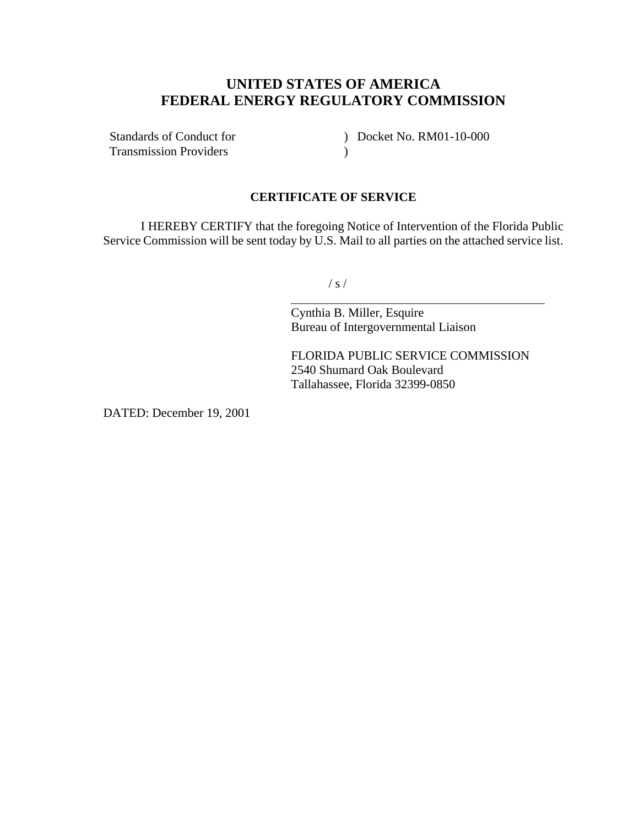# **UNITED STATES OF AMERICA FEDERAL ENERGY REGULATORY COMMISSION**

Standards of Conduct for Transmission Providers

) Docket No. RM01-10-000  $\mathcal{L}$ 

### **CERTIFICATE OF SERVICE**

I HEREBY CERTIFY that the foregoing Notice of Intervention of the Florida Public Service Commission will be sent today by U.S. Mail to all parties on the attached service list.

 $/ s /$ 

 $\overline{a}$ 

Cynthia B. Miller, Esquire Bureau of Intergovernmental Liaison

FLORIDA PUBLIC SERVICE COMMISSION 2540 Shumard Oak Boulevard Tallahassee, Florida 32399-0850

DATED: December 19, 2001